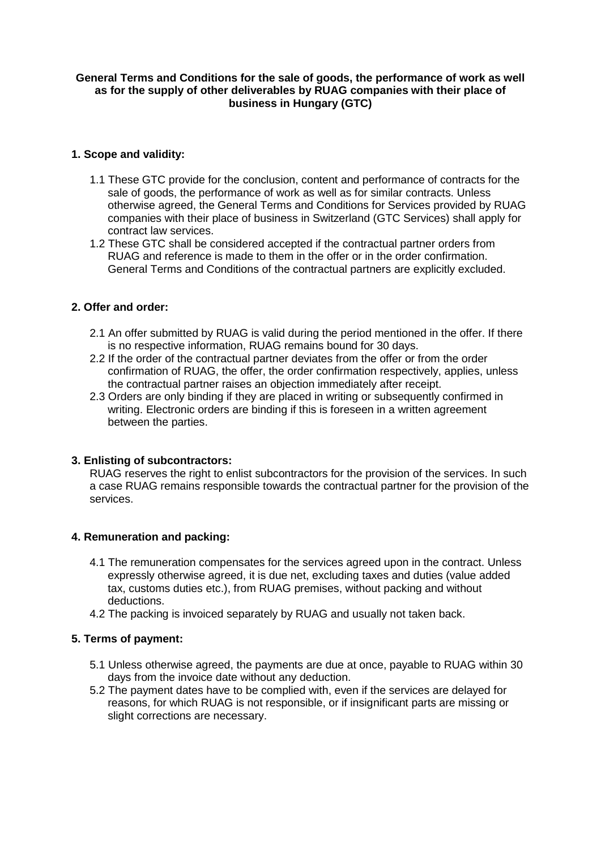### **General Terms and Conditions for the sale of goods, the performance of work as well as for the supply of other deliverables by RUAG companies with their place of business in Hungary (GTC)**

# **1. Scope and validity:**

- 1.1 These GTC provide for the conclusion, content and performance of contracts for the sale of goods, the performance of work as well as for similar contracts. Unless otherwise agreed, the General Terms and Conditions for Services provided by RUAG companies with their place of business in Switzerland (GTC Services) shall apply for contract law services.
- 1.2 These GTC shall be considered accepted if the contractual partner orders from RUAG and reference is made to them in the offer or in the order confirmation. General Terms and Conditions of the contractual partners are explicitly excluded.

## **2. Offer and order:**

- 2.1 An offer submitted by RUAG is valid during the period mentioned in the offer. If there is no respective information, RUAG remains bound for 30 days.
- 2.2 If the order of the contractual partner deviates from the offer or from the order confirmation of RUAG, the offer, the order confirmation respectively, applies, unless the contractual partner raises an objection immediately after receipt.
- 2.3 Orders are only binding if they are placed in writing or subsequently confirmed in writing. Electronic orders are binding if this is foreseen in a written agreement between the parties.

### **3. Enlisting of subcontractors:**

RUAG reserves the right to enlist subcontractors for the provision of the services. In such a case RUAG remains responsible towards the contractual partner for the provision of the services.

### **4. Remuneration and packing:**

- 4.1 The remuneration compensates for the services agreed upon in the contract. Unless expressly otherwise agreed, it is due net, excluding taxes and duties (value added tax, customs duties etc.), from RUAG premises, without packing and without deductions.
- 4.2 The packing is invoiced separately by RUAG and usually not taken back.

### **5. Terms of payment:**

- 5.1 Unless otherwise agreed, the payments are due at once, payable to RUAG within 30 days from the invoice date without any deduction.
- 5.2 The payment dates have to be complied with, even if the services are delayed for reasons, for which RUAG is not responsible, or if insignificant parts are missing or slight corrections are necessary.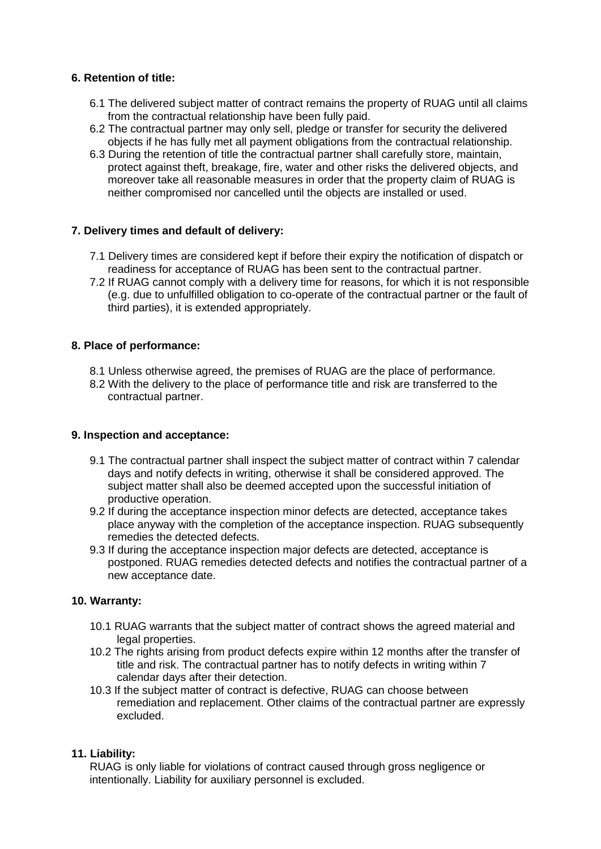## **6. Retention of title:**

- 6.1 The delivered subject matter of contract remains the property of RUAG until all claims from the contractual relationship have been fully paid.
- 6.2 The contractual partner may only sell, pledge or transfer for security the delivered objects if he has fully met all payment obligations from the contractual relationship.
- 6.3 During the retention of title the contractual partner shall carefully store, maintain, protect against theft, breakage, fire, water and other risks the delivered objects, and moreover take all reasonable measures in order that the property claim of RUAG is neither compromised nor cancelled until the objects are installed or used.

## **7. Delivery times and default of delivery:**

- 7.1 Delivery times are considered kept if before their expiry the notification of dispatch or readiness for acceptance of RUAG has been sent to the contractual partner.
- 7.2 If RUAG cannot comply with a delivery time for reasons, for which it is not responsible (e.g. due to unfulfilled obligation to co-operate of the contractual partner or the fault of third parties), it is extended appropriately.

## **8. Place of performance:**

- 8.1 Unless otherwise agreed, the premises of RUAG are the place of performance.
- 8.2 With the delivery to the place of performance title and risk are transferred to the contractual partner.

### **9. Inspection and acceptance:**

- 9.1 The contractual partner shall inspect the subject matter of contract within 7 calendar days and notify defects in writing, otherwise it shall be considered approved. The subject matter shall also be deemed accepted upon the successful initiation of productive operation.
- 9.2 If during the acceptance inspection minor defects are detected, acceptance takes place anyway with the completion of the acceptance inspection. RUAG subsequently remedies the detected defects.
- 9.3 If during the acceptance inspection major defects are detected, acceptance is postponed. RUAG remedies detected defects and notifies the contractual partner of a new acceptance date.

### **10. Warranty:**

- 10.1 RUAG warrants that the subject matter of contract shows the agreed material and legal properties.
- 10.2 The rights arising from product defects expire within 12 months after the transfer of title and risk. The contractual partner has to notify defects in writing within 7 calendar days after their detection.
- 10.3 If the subject matter of contract is defective, RUAG can choose between remediation and replacement. Other claims of the contractual partner are expressly excluded.

### **11. Liability:**

RUAG is only liable for violations of contract caused through gross negligence or intentionally. Liability for auxiliary personnel is excluded.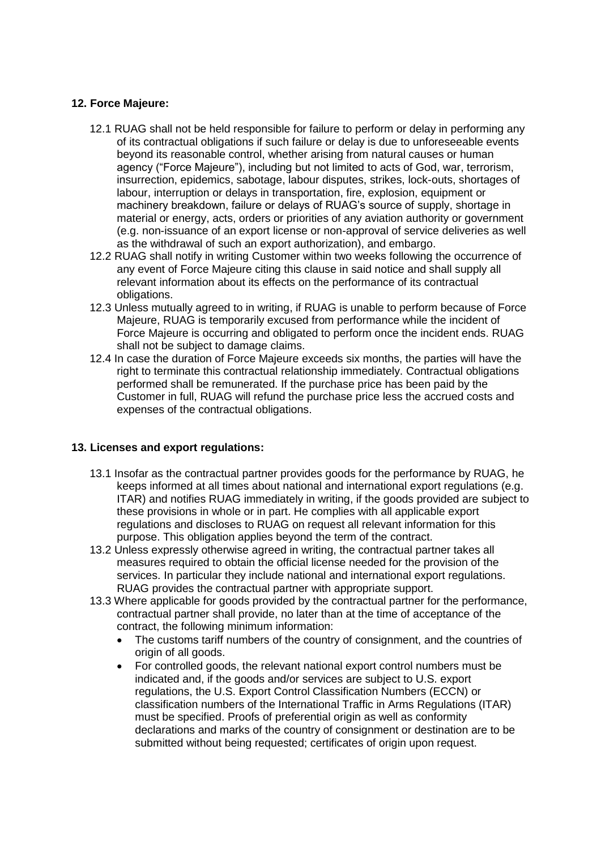## **12. Force Majeure:**

- 12.1 RUAG shall not be held responsible for failure to perform or delay in performing any of its contractual obligations if such failure or delay is due to unforeseeable events beyond its reasonable control, whether arising from natural causes or human agency ("Force Majeure"), including but not limited to acts of God, war, terrorism, insurrection, epidemics, sabotage, labour disputes, strikes, lock-outs, shortages of labour, interruption or delays in transportation, fire, explosion, equipment or machinery breakdown, failure or delays of RUAG's source of supply, shortage in material or energy, acts, orders or priorities of any aviation authority or government (e.g. non-issuance of an export license or non-approval of service deliveries as well as the withdrawal of such an export authorization), and embargo.
- 12.2 RUAG shall notify in writing Customer within two weeks following the occurrence of any event of Force Majeure citing this clause in said notice and shall supply all relevant information about its effects on the performance of its contractual obligations.
- 12.3 Unless mutually agreed to in writing, if RUAG is unable to perform because of Force Majeure, RUAG is temporarily excused from performance while the incident of Force Majeure is occurring and obligated to perform once the incident ends. RUAG shall not be subject to damage claims.
- 12.4 In case the duration of Force Majeure exceeds six months, the parties will have the right to terminate this contractual relationship immediately. Contractual obligations performed shall be remunerated. If the purchase price has been paid by the Customer in full, RUAG will refund the purchase price less the accrued costs and expenses of the contractual obligations.

### **13. Licenses and export regulations:**

- 13.1 Insofar as the contractual partner provides goods for the performance by RUAG, he keeps informed at all times about national and international export regulations (e.g. ITAR) and notifies RUAG immediately in writing, if the goods provided are subject to these provisions in whole or in part. He complies with all applicable export regulations and discloses to RUAG on request all relevant information for this purpose. This obligation applies beyond the term of the contract.
- 13.2 Unless expressly otherwise agreed in writing, the contractual partner takes all measures required to obtain the official license needed for the provision of the services. In particular they include national and international export regulations. RUAG provides the contractual partner with appropriate support.
- 13.3 Where applicable for goods provided by the contractual partner for the performance, contractual partner shall provide, no later than at the time of acceptance of the contract, the following minimum information:
	- The customs tariff numbers of the country of consignment, and the countries of origin of all goods.
	- For controlled goods, the relevant national export control numbers must be indicated and, if the goods and/or services are subject to U.S. export regulations, the U.S. Export Control Classification Numbers (ECCN) or classification numbers of the International Traffic in Arms Regulations (ITAR) must be specified. Proofs of preferential origin as well as conformity declarations and marks of the country of consignment or destination are to be submitted without being requested; certificates of origin upon request.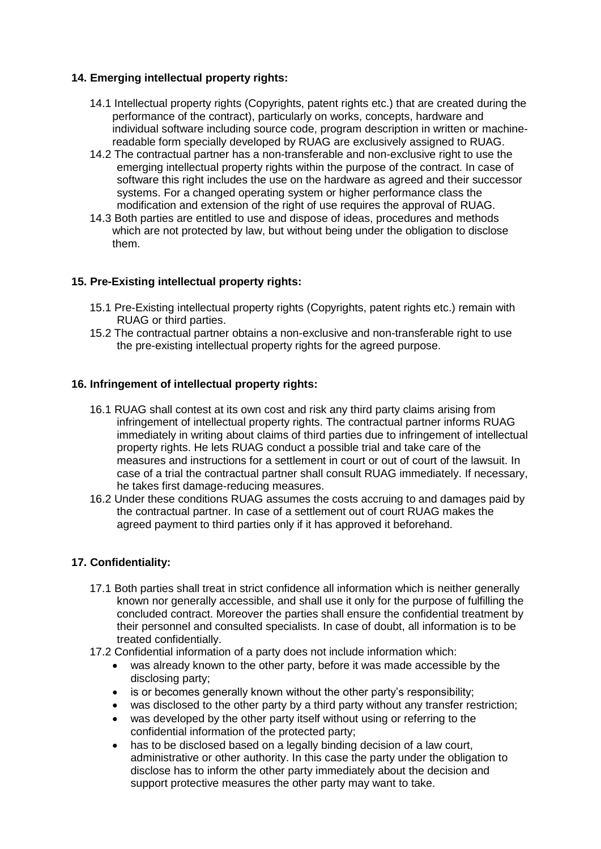## **14. Emerging intellectual property rights:**

- 14.1 Intellectual property rights (Copyrights, patent rights etc.) that are created during the performance of the contract), particularly on works, concepts, hardware and individual software including source code, program description in written or machinereadable form specially developed by RUAG are exclusively assigned to RUAG.
- 14.2 The contractual partner has a non-transferable and non-exclusive right to use the emerging intellectual property rights within the purpose of the contract. In case of software this right includes the use on the hardware as agreed and their successor systems. For a changed operating system or higher performance class the modification and extension of the right of use requires the approval of RUAG.
- 14.3 Both parties are entitled to use and dispose of ideas, procedures and methods which are not protected by law, but without being under the obligation to disclose them.

## **15. Pre-Existing intellectual property rights:**

- 15.1 Pre-Existing intellectual property rights (Copyrights, patent rights etc.) remain with RUAG or third parties.
- 15.2 The contractual partner obtains a non-exclusive and non-transferable right to use the pre-existing intellectual property rights for the agreed purpose.

### **16. Infringement of intellectual property rights:**

- 16.1 RUAG shall contest at its own cost and risk any third party claims arising from infringement of intellectual property rights. The contractual partner informs RUAG immediately in writing about claims of third parties due to infringement of intellectual property rights. He lets RUAG conduct a possible trial and take care of the measures and instructions for a settlement in court or out of court of the lawsuit. In case of a trial the contractual partner shall consult RUAG immediately. If necessary, he takes first damage-reducing measures.
- 16.2 Under these conditions RUAG assumes the costs accruing to and damages paid by the contractual partner. In case of a settlement out of court RUAG makes the agreed payment to third parties only if it has approved it beforehand.

### **17. Confidentiality:**

- 17.1 Both parties shall treat in strict confidence all information which is neither generally known nor generally accessible, and shall use it only for the purpose of fulfilling the concluded contract. Moreover the parties shall ensure the confidential treatment by their personnel and consulted specialists. In case of doubt, all information is to be treated confidentially.
- 17.2 Confidential information of a party does not include information which:
	- was already known to the other party, before it was made accessible by the disclosing party;
	- is or becomes generally known without the other party's responsibility;
	- was disclosed to the other party by a third party without any transfer restriction;
	- was developed by the other party itself without using or referring to the confidential information of the protected party;
	- has to be disclosed based on a legally binding decision of a law court, administrative or other authority. In this case the party under the obligation to disclose has to inform the other party immediately about the decision and support protective measures the other party may want to take.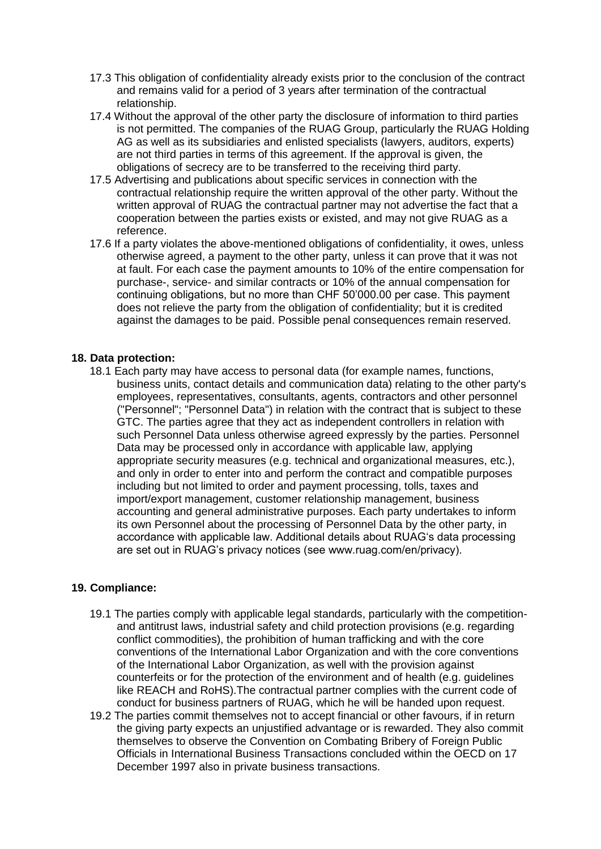- 17.3 This obligation of confidentiality already exists prior to the conclusion of the contract and remains valid for a period of 3 years after termination of the contractual relationship.
- 17.4 Without the approval of the other party the disclosure of information to third parties is not permitted. The companies of the RUAG Group, particularly the RUAG Holding AG as well as its subsidiaries and enlisted specialists (lawyers, auditors, experts) are not third parties in terms of this agreement. If the approval is given, the obligations of secrecy are to be transferred to the receiving third party.
- 17.5 Advertising and publications about specific services in connection with the contractual relationship require the written approval of the other party. Without the written approval of RUAG the contractual partner may not advertise the fact that a cooperation between the parties exists or existed, and may not give RUAG as a reference.
- 17.6 If a party violates the above-mentioned obligations of confidentiality, it owes, unless otherwise agreed, a payment to the other party, unless it can prove that it was not at fault. For each case the payment amounts to 10% of the entire compensation for purchase-, service- and similar contracts or 10% of the annual compensation for continuing obligations, but no more than CHF 50'000.00 per case. This payment does not relieve the party from the obligation of confidentiality; but it is credited against the damages to be paid. Possible penal consequences remain reserved.

#### **18. Data protection:**

18.1 Each party may have access to personal data (for example names, functions, business units, contact details and communication data) relating to the other party's employees, representatives, consultants, agents, contractors and other personnel ("Personnel"; "Personnel Data") in relation with the contract that is subject to these GTC. The parties agree that they act as independent controllers in relation with such Personnel Data unless otherwise agreed expressly by the parties. Personnel Data may be processed only in accordance with applicable law, applying appropriate security measures (e.g. technical and organizational measures, etc.), and only in order to enter into and perform the contract and compatible purposes including but not limited to order and payment processing, tolls, taxes and import/export management, customer relationship management, business accounting and general administrative purposes. Each party undertakes to inform its own Personnel about the processing of Personnel Data by the other party, in accordance with applicable law. Additional details about RUAG's data processing are set out in RUAG's privacy notices (see www.ruag.com/en/privacy).

### **19. Compliance:**

- 19.1 The parties comply with applicable legal standards, particularly with the competitionand antitrust laws, industrial safety and child protection provisions (e.g. regarding conflict commodities), the prohibition of human trafficking and with the core conventions of the International Labor Organization and with the core conventions of the International Labor Organization, as well with the provision against counterfeits or for the protection of the environment and of health (e.g. guidelines like REACH and RoHS).The contractual partner complies with the current code of conduct for business partners of RUAG, which he will be handed upon request.
- 19.2 The parties commit themselves not to accept financial or other favours, if in return the giving party expects an unjustified advantage or is rewarded. They also commit themselves to observe the Convention on Combating Bribery of Foreign Public Officials in International Business Transactions concluded within the OECD on 17 December 1997 also in private business transactions.